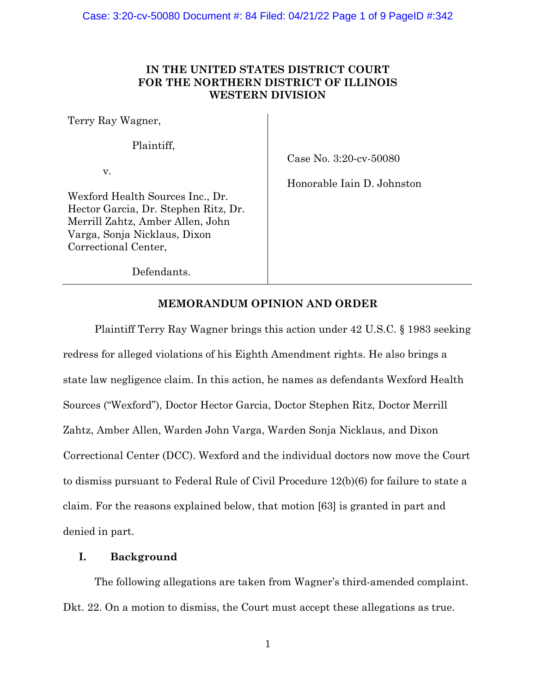# **IN THE UNITED STATES DISTRICT COURT FOR THE NORTHERN DISTRICT OF ILLINOIS WESTERN DIVISION**

Terry Ray Wagner,

Plaintiff,

v.

Case No. 3:20-cv-50080

Honorable Iain D. Johnston

Wexford Health Sources Inc., Dr. Hector Garcia, Dr. Stephen Ritz, Dr. Merrill Zahtz, Amber Allen, John Varga, Sonja Nicklaus, Dixon Correctional Center,

Defendants.

## **MEMORANDUM OPINION AND ORDER**

Plaintiff Terry Ray Wagner brings this action under 42 U.S.C. § 1983 seeking redress for alleged violations of his Eighth Amendment rights. He also brings a state law negligence claim. In this action, he names as defendants Wexford Health Sources ("Wexford"), Doctor Hector Garcia, Doctor Stephen Ritz, Doctor Merrill Zahtz, Amber Allen, Warden John Varga, Warden Sonja Nicklaus, and Dixon Correctional Center (DCC). Wexford and the individual doctors now move the Court to dismiss pursuant to Federal Rule of Civil Procedure 12(b)(6) for failure to state a claim. For the reasons explained below, that motion [63] is granted in part and denied in part.

## **I. Background**

The following allegations are taken from Wagner's third-amended complaint. Dkt. 22. On a motion to dismiss, the Court must accept these allegations as true.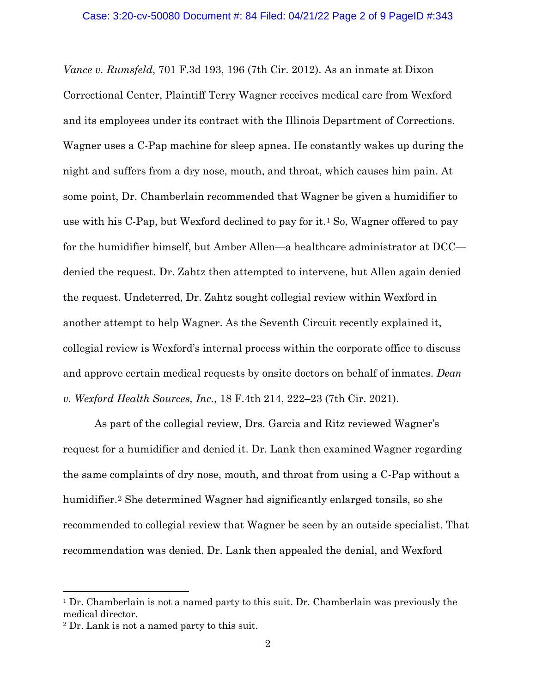*Vance v. Rumsfeld*, 701 F.3d 193, 196 (7th Cir. 2012). As an inmate at Dixon Correctional Center, Plaintiff Terry Wagner receives medical care from Wexford and its employees under its contract with the Illinois Department of Corrections. Wagner uses a C-Pap machine for sleep apnea. He constantly wakes up during the night and suffers from a dry nose, mouth, and throat, which causes him pain. At some point, Dr. Chamberlain recommended that Wagner be given a humidifier to use with his C-Pap, but Wexford declined to pay for  $it<sup>1</sup>$  So, Wagner offered to pay for the humidifier himself, but Amber Allen—a healthcare administrator at DCC denied the request. Dr. Zahtz then attempted to intervene, but Allen again denied the request. Undeterred, Dr. Zahtz sought collegial review within Wexford in another attempt to help Wagner. As the Seventh Circuit recently explained it, collegial review is Wexford's internal process within the corporate office to discuss and approve certain medical requests by onsite doctors on behalf of inmates. *Dean v. Wexford Health Sources, Inc.*, 18 F.4th 214, 222–23 (7th Cir. 2021).

As part of the collegial review, Drs. Garcia and Ritz reviewed Wagner's request for a humidifier and denied it. Dr. Lank then examined Wagner regarding the same complaints of dry nose, mouth, and throat from using a C-Pap without a humidifier.<sup>2</sup> She determined Wagner had significantly enlarged tonsils, so she recommended to collegial review that Wagner be seen by an outside specialist. That recommendation was denied. Dr. Lank then appealed the denial, and Wexford

<sup>&</sup>lt;sup>1</sup> Dr. Chamberlain is not a named party to this suit. Dr. Chamberlain was previously the medical director.

<sup>2</sup> Dr. Lank is not a named party to this suit.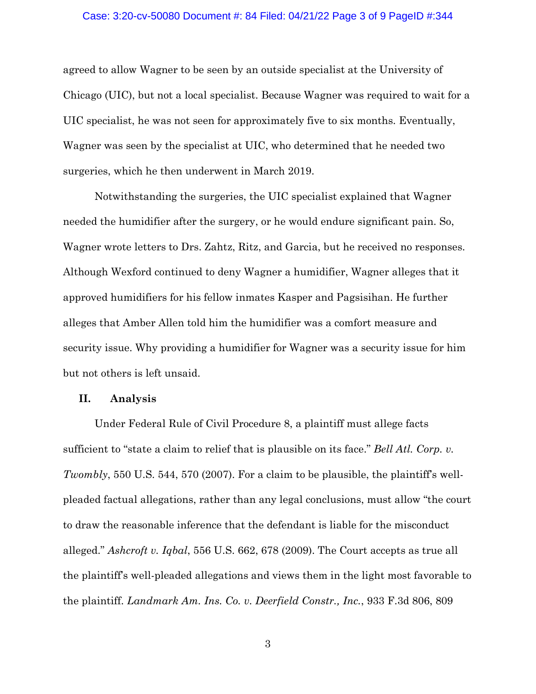#### Case: 3:20-cv-50080 Document #: 84 Filed: 04/21/22 Page 3 of 9 PageID #:344

agreed to allow Wagner to be seen by an outside specialist at the University of Chicago (UIC), but not a local specialist. Because Wagner was required to wait for a UIC specialist, he was not seen for approximately five to six months. Eventually, Wagner was seen by the specialist at UIC, who determined that he needed two surgeries, which he then underwent in March 2019.

Notwithstanding the surgeries, the UIC specialist explained that Wagner needed the humidifier after the surgery, or he would endure significant pain. So, Wagner wrote letters to Drs. Zahtz, Ritz, and Garcia, but he received no responses. Although Wexford continued to deny Wagner a humidifier, Wagner alleges that it approved humidifiers for his fellow inmates Kasper and Pagsisihan. He further alleges that Amber Allen told him the humidifier was a comfort measure and security issue. Why providing a humidifier for Wagner was a security issue for him but not others is left unsaid.

### **II. Analysis**

Under Federal Rule of Civil Procedure 8, a plaintiff must allege facts sufficient to "state a claim to relief that is plausible on its face." *Bell Atl. Corp. v. Twombly*, 550 U.S. 544, 570 (2007). For a claim to be plausible, the plaintiff's wellpleaded factual allegations, rather than any legal conclusions, must allow "the court to draw the reasonable inference that the defendant is liable for the misconduct alleged." *Ashcroft v. Iqbal*, 556 U.S. 662, 678 (2009). The Court accepts as true all the plaintiff's well-pleaded allegations and views them in the light most favorable to the plaintiff. *Landmark Am. Ins. Co. v. Deerfield Constr., Inc.*, 933 F.3d 806, 809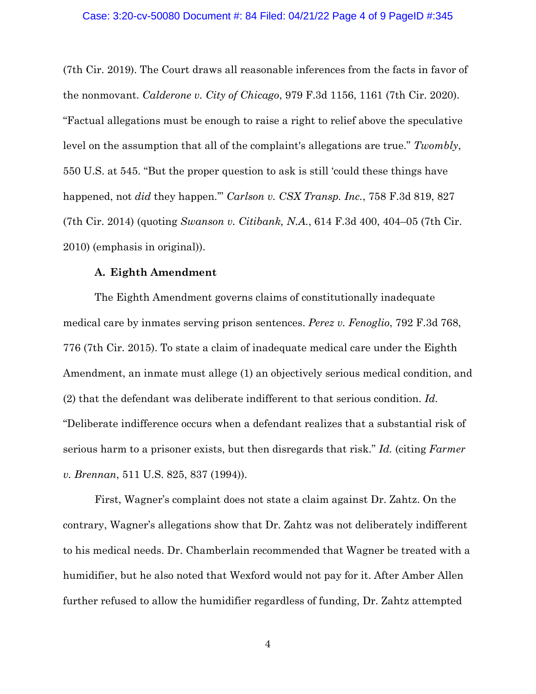(7th Cir. 2019). The Court draws all reasonable inferences from the facts in favor of the nonmovant. *Calderone v. City of Chicago*, 979 F.3d 1156, 1161 (7th Cir. 2020). "Factual allegations must be enough to raise a right to relief above the speculative level on the assumption that all of the complaint's allegations are true." *Twombly*, 550 U.S. at 545. "But the proper question to ask is still 'could these things have happened, not *did* they happen.'" *Carlson v. CSX Transp. Inc.*, 758 F.3d 819, 827 (7th Cir. 2014) (quoting *Swanson v. Citibank, N.A.*, 614 F.3d 400, 404–05 (7th Cir. 2010) (emphasis in original)).

### **A. Eighth Amendment**

The Eighth Amendment governs claims of constitutionally inadequate medical care by inmates serving prison sentences. *Perez v. Fenoglio*, 792 F.3d 768, 776 (7th Cir. 2015). To state a claim of inadequate medical care under the Eighth Amendment, an inmate must allege (1) an objectively serious medical condition, and (2) that the defendant was deliberate indifferent to that serious condition. *Id.* "Deliberate indifference occurs when a defendant realizes that a substantial risk of serious harm to a prisoner exists, but then disregards that risk." *Id.* (citing *Farmer v. Brennan*, 511 U.S. 825, 837 (1994)).

First, Wagner's complaint does not state a claim against Dr. Zahtz. On the contrary, Wagner's allegations show that Dr. Zahtz was not deliberately indifferent to his medical needs. Dr. Chamberlain recommended that Wagner be treated with a humidifier, but he also noted that Wexford would not pay for it. After Amber Allen further refused to allow the humidifier regardless of funding, Dr. Zahtz attempted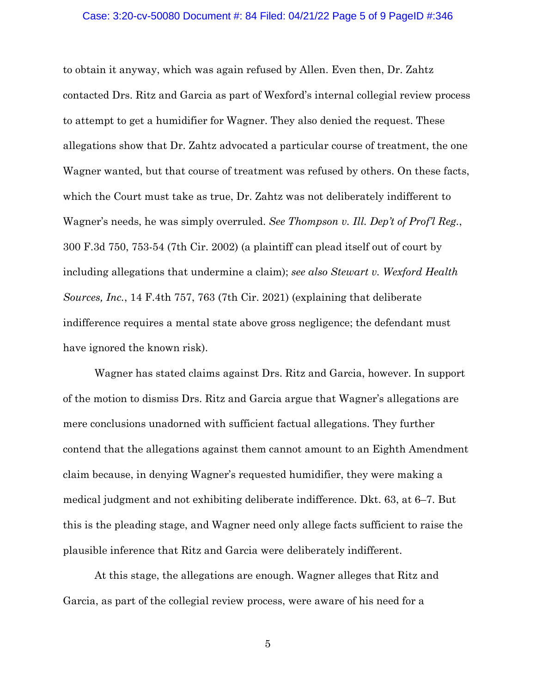## Case: 3:20-cv-50080 Document #: 84 Filed: 04/21/22 Page 5 of 9 PageID #:346

to obtain it anyway, which was again refused by Allen. Even then, Dr. Zahtz contacted Drs. Ritz and Garcia as part of Wexford's internal collegial review process to attempt to get a humidifier for Wagner. They also denied the request. These allegations show that Dr. Zahtz advocated a particular course of treatment, the one Wagner wanted, but that course of treatment was refused by others. On these facts, which the Court must take as true, Dr. Zahtz was not deliberately indifferent to Wagner's needs, he was simply overruled. *See Thompson v. Ill. Dep't of Prof'l Reg.*, 300 F.3d 750, 753-54 (7th Cir. 2002) (a plaintiff can plead itself out of court by including allegations that undermine a claim); *see also Stewart v. Wexford Health Sources, Inc.*, 14 F.4th 757, 763 (7th Cir. 2021) (explaining that deliberate indifference requires a mental state above gross negligence; the defendant must have ignored the known risk).

Wagner has stated claims against Drs. Ritz and Garcia, however. In support of the motion to dismiss Drs. Ritz and Garcia argue that Wagner's allegations are mere conclusions unadorned with sufficient factual allegations. They further contend that the allegations against them cannot amount to an Eighth Amendment claim because, in denying Wagner's requested humidifier, they were making a medical judgment and not exhibiting deliberate indifference. Dkt. 63, at 6–7. But this is the pleading stage, and Wagner need only allege facts sufficient to raise the plausible inference that Ritz and Garcia were deliberately indifferent.

At this stage, the allegations are enough. Wagner alleges that Ritz and Garcia, as part of the collegial review process, were aware of his need for a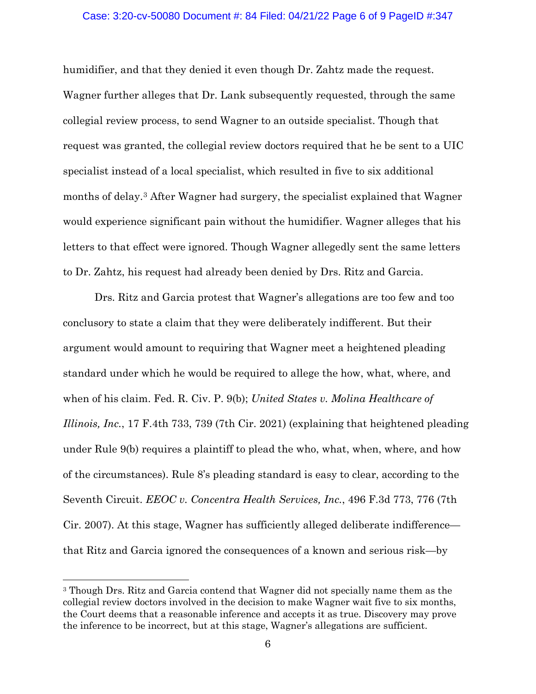## Case: 3:20-cv-50080 Document #: 84 Filed: 04/21/22 Page 6 of 9 PageID #:347

humidifier, and that they denied it even though Dr. Zahtz made the request. Wagner further alleges that Dr. Lank subsequently requested, through the same collegial review process, to send Wagner to an outside specialist. Though that request was granted, the collegial review doctors required that he be sent to a UIC specialist instead of a local specialist, which resulted in five to six additional months of delay.3 After Wagner had surgery, the specialist explained that Wagner would experience significant pain without the humidifier. Wagner alleges that his letters to that effect were ignored. Though Wagner allegedly sent the same letters to Dr. Zahtz, his request had already been denied by Drs. Ritz and Garcia.

Drs. Ritz and Garcia protest that Wagner's allegations are too few and too conclusory to state a claim that they were deliberately indifferent. But their argument would amount to requiring that Wagner meet a heightened pleading standard under which he would be required to allege the how, what, where, and when of his claim. Fed. R. Civ. P. 9(b); *United States v. Molina Healthcare of Illinois, Inc.*, 17 F.4th 733, 739 (7th Cir. 2021) (explaining that heightened pleading under Rule 9(b) requires a plaintiff to plead the who, what, when, where, and how of the circumstances). Rule 8's pleading standard is easy to clear, according to the Seventh Circuit. *EEOC v. Concentra Health Services, Inc.*, 496 F.3d 773, 776 (7th Cir. 2007). At this stage, Wagner has sufficiently alleged deliberate indifference that Ritz and Garcia ignored the consequences of a known and serious risk—by

<sup>3</sup> Though Drs. Ritz and Garcia contend that Wagner did not specially name them as the collegial review doctors involved in the decision to make Wagner wait five to six months, the Court deems that a reasonable inference and accepts it as true. Discovery may prove the inference to be incorrect, but at this stage, Wagner's allegations are sufficient.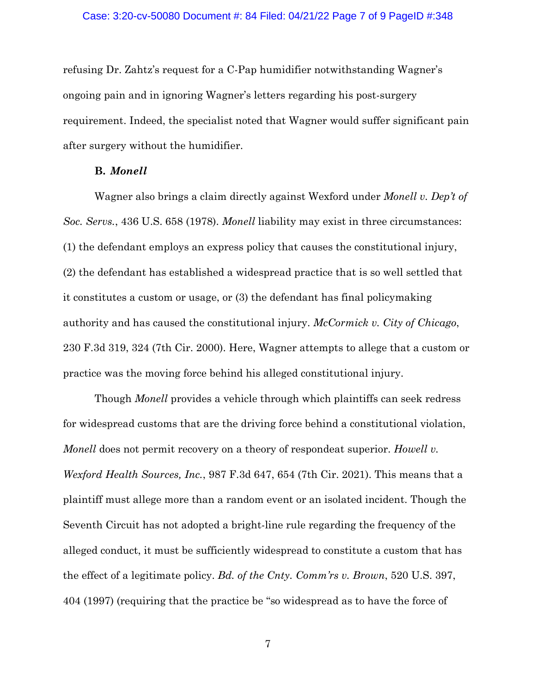refusing Dr. Zahtz's request for a C-Pap humidifier notwithstanding Wagner's ongoing pain and in ignoring Wagner's letters regarding his post-surgery requirement. Indeed, the specialist noted that Wagner would suffer significant pain after surgery without the humidifier.

### **B.** *Monell*

Wagner also brings a claim directly against Wexford under *Monell v. Dep't of Soc. Servs.*, 436 U.S. 658 (1978). *Monell* liability may exist in three circumstances: (1) the defendant employs an express policy that causes the constitutional injury, (2) the defendant has established a widespread practice that is so well settled that it constitutes a custom or usage, or (3) the defendant has final policymaking authority and has caused the constitutional injury. *McCormick v. City of Chicago*, 230 F.3d 319, 324 (7th Cir. 2000). Here, Wagner attempts to allege that a custom or practice was the moving force behind his alleged constitutional injury.

Though *Monell* provides a vehicle through which plaintiffs can seek redress for widespread customs that are the driving force behind a constitutional violation, *Monell* does not permit recovery on a theory of respondeat superior. *Howell v. Wexford Health Sources, Inc.*, 987 F.3d 647, 654 (7th Cir. 2021). This means that a plaintiff must allege more than a random event or an isolated incident. Though the Seventh Circuit has not adopted a bright-line rule regarding the frequency of the alleged conduct, it must be sufficiently widespread to constitute a custom that has the effect of a legitimate policy. *Bd. of the Cnty. Comm'rs v. Brown*, 520 U.S. 397, 404 (1997) (requiring that the practice be "so widespread as to have the force of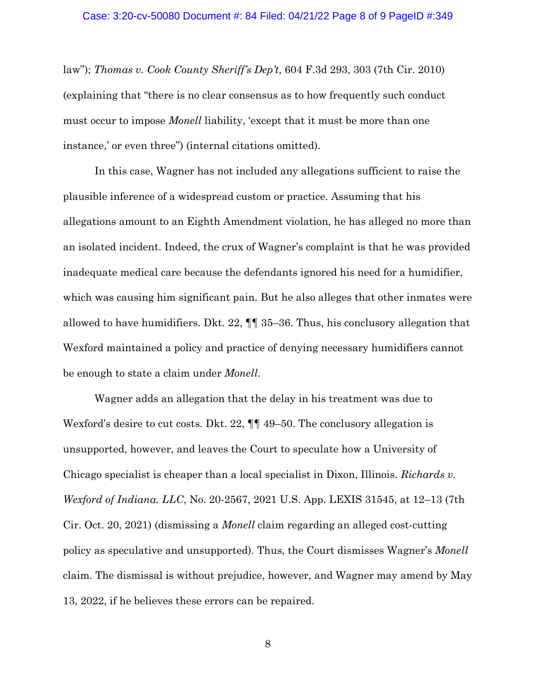law"); *Thomas v. Cook County Sheriff's Dep't*, 604 F.3d 293, 303 (7th Cir. 2010) (explaining that "there is no clear consensus as to how frequently such conduct must occur to impose *Monell* liability, 'except that it must be more than one instance,' or even three") (internal citations omitted).

In this case, Wagner has not included any allegations sufficient to raise the plausible inference of a widespread custom or practice. Assuming that his allegations amount to an Eighth Amendment violation, he has alleged no more than an isolated incident. Indeed, the crux of Wagner's complaint is that he was provided inadequate medical care because the defendants ignored his need for a humidifier, which was causing him significant pain. But he also alleges that other inmates were allowed to have humidifiers. Dkt. 22, ¶¶ 35–36. Thus, his conclusory allegation that Wexford maintained a policy and practice of denying necessary humidifiers cannot be enough to state a claim under *Monell*.

Wagner adds an allegation that the delay in his treatment was due to Wexford's desire to cut costs. Dkt. 22,  $\P\P$  49–50. The conclusory allegation is unsupported, however, and leaves the Court to speculate how a University of Chicago specialist is cheaper than a local specialist in Dixon, Illinois. *Richards v. Wexford of Indiana. LLC*, No. 20-2567, 2021 U.S. App. LEXIS 31545, at 12–13 (7th Cir. Oct. 20, 2021) (dismissing a *Monell* claim regarding an alleged cost-cutting policy as speculative and unsupported). Thus, the Court dismisses Wagner's *Monell* claim. The dismissal is without prejudice, however, and Wagner may amend by May 13, 2022, if he believes these errors can be repaired.